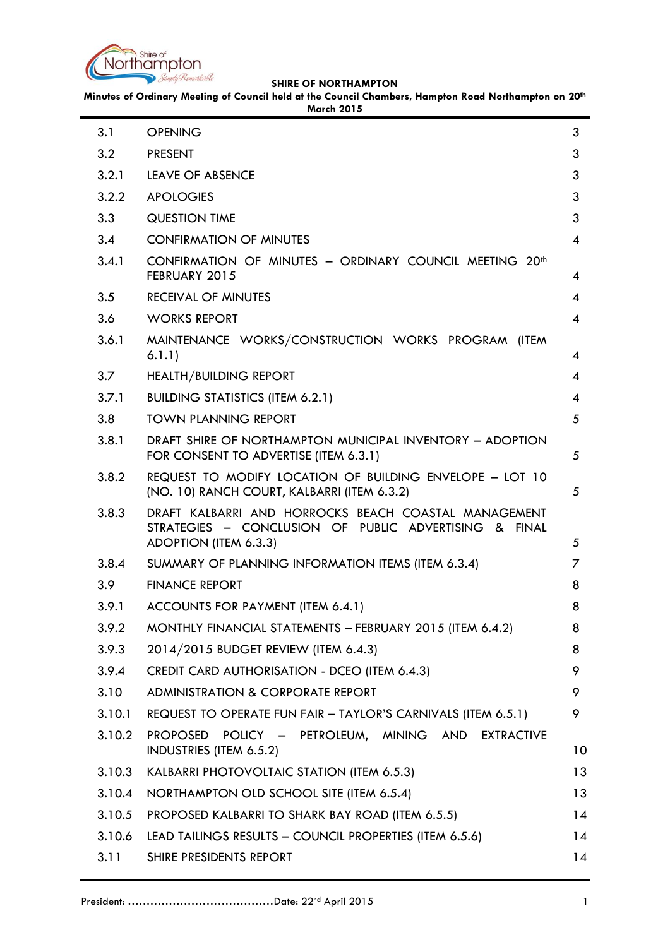

**Minutes of Ordinary Meeting of Council held at the Council Chambers, Hampton Road Northampton on 20th March 2015**

| 3.1    | <b>OPENING</b>                                                                                                                         | 3                        |
|--------|----------------------------------------------------------------------------------------------------------------------------------------|--------------------------|
| 3.2    | <b>PRESENT</b>                                                                                                                         | 3                        |
| 3.2.1  | LEAVE OF ABSENCE                                                                                                                       | 3                        |
| 3.2.2  | <b>APOLOGIES</b>                                                                                                                       | 3                        |
| 3.3    | <b>QUESTION TIME</b>                                                                                                                   | 3                        |
| 3.4    | <b>CONFIRMATION OF MINUTES</b>                                                                                                         | $\boldsymbol{\varDelta}$ |
| 3.4.1  | CONFIRMATION OF MINUTES - ORDINARY COUNCIL MEETING 20 <sup>th</sup><br>FEBRUARY 2015                                                   | 4                        |
| 3.5    | <b>RECEIVAL OF MINUTES</b>                                                                                                             | 4                        |
| 3.6    | <b>WORKS REPORT</b>                                                                                                                    | 4                        |
| 3.6.1  | MAINTENANCE WORKS/CONSTRUCTION WORKS PROGRAM (ITEM<br>6.1.1)                                                                           | 4                        |
| 3.7    | <b>HEALTH/BUILDING REPORT</b>                                                                                                          | 4                        |
| 3.7.1  | <b>BUILDING STATISTICS (ITEM 6.2.1)</b>                                                                                                | 4                        |
| 3.8    | <b>TOWN PLANNING REPORT</b>                                                                                                            | 5                        |
| 3.8.1  | DRAFT SHIRE OF NORTHAMPTON MUNICIPAL INVENTORY - ADOPTION<br>FOR CONSENT TO ADVERTISE (ITEM 6.3.1)                                     | 5                        |
| 3.8.2  | REQUEST TO MODIFY LOCATION OF BUILDING ENVELOPE - LOT 10<br>(NO. 10) RANCH COURT, KALBARRI (ITEM 6.3.2)                                | 5                        |
| 3.8.3  | DRAFT KALBARRI AND HORROCKS BEACH COASTAL MANAGEMENT<br>STRATEGIES - CONCLUSION OF PUBLIC ADVERTISING & FINAL<br>ADOPTION (ITEM 6.3.3) | 5                        |
| 3.8.4  | SUMMARY OF PLANNING INFORMATION ITEMS (ITEM 6.3.4)                                                                                     | 7                        |
| 3.9    | <b>FINANCE REPORT</b>                                                                                                                  | 8                        |
| 3.9.1  | ACCOUNTS FOR PAYMENT (ITEM 6.4.1)                                                                                                      | 8                        |
| 3.9.2  | MONTHLY FINANCIAL STATEMENTS - FEBRUARY 2015 (ITEM 6.4.2)                                                                              | 8                        |
| 3.9.3  | 2014/2015 BUDGET REVIEW (ITEM 6.4.3)                                                                                                   | 8                        |
| 3.9.4  | CREDIT CARD AUTHORISATION - DCEO (ITEM 6.4.3)                                                                                          | 9                        |
| 3.10   | <b>ADMINISTRATION &amp; CORPORATE REPORT</b>                                                                                           | 9                        |
| 3.10.1 | REQUEST TO OPERATE FUN FAIR - TAYLOR'S CARNIVALS (ITEM 6.5.1)                                                                          | 9                        |
| 3.10.2 | PROPOSED POLICY - PETROLEUM, MINING AND EXTRACTIVE<br>INDUSTRIES (ITEM 6.5.2)                                                          | 10 <sup>°</sup>          |
| 3.10.3 | KALBARRI PHOTOVOLTAIC STATION (ITEM 6.5.3)                                                                                             | 13                       |
| 3.10.4 | NORTHAMPTON OLD SCHOOL SITE (ITEM 6.5.4)                                                                                               | 13                       |
| 3.10.5 | PROPOSED KALBARRI TO SHARK BAY ROAD (ITEM 6.5.5)                                                                                       | 14                       |
| 3.10.6 | LEAD TAILINGS RESULTS - COUNCIL PROPERTIES (ITEM 6.5.6)                                                                                | 14                       |
| 3.11   | SHIRE PRESIDENTS REPORT                                                                                                                | 14                       |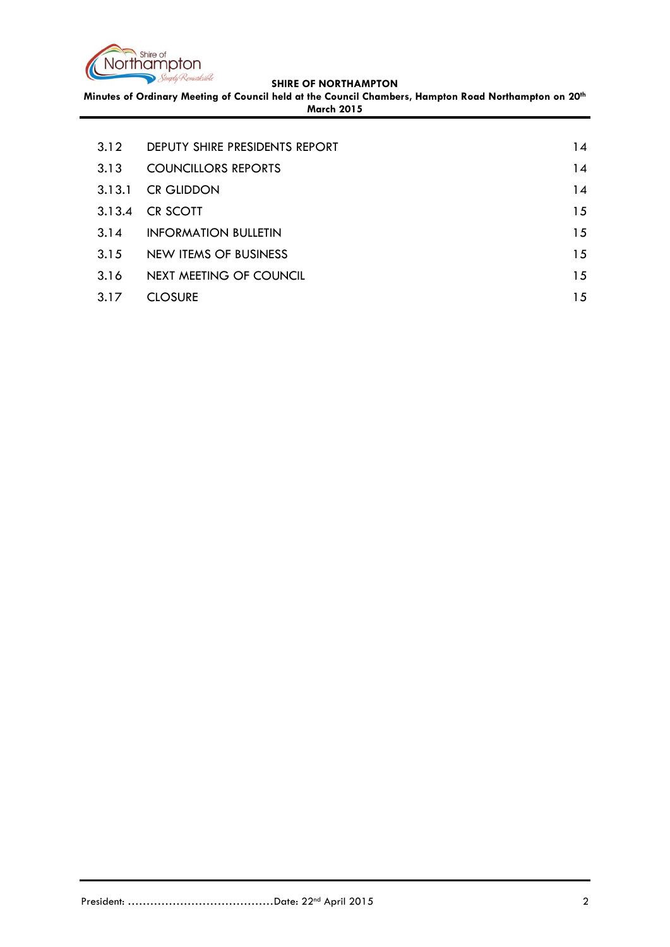

**Minutes of Ordinary Meeting of Council held at the Council Chambers, Hampton Road Northampton on 20th March 2015**

| 3.12   | DEPUTY SHIRE PRESIDENTS REPORT | 14 |
|--------|--------------------------------|----|
| 3.13   | <b>COUNCILLORS REPORTS</b>     | 14 |
| 3.13.1 | <b>CR GLIDDON</b>              | 14 |
| 3.13.4 | CR SCOTT                       | 15 |
| 3.14   | <b>INFORMATION BULLETIN</b>    | 15 |
| 3.15   | NEW ITEMS OF BUSINESS          | 15 |
| 3.16   | NEXT MEETING OF COUNCIL        | 15 |
| 3.17   | <b>CLOSURE</b>                 | 15 |
|        |                                |    |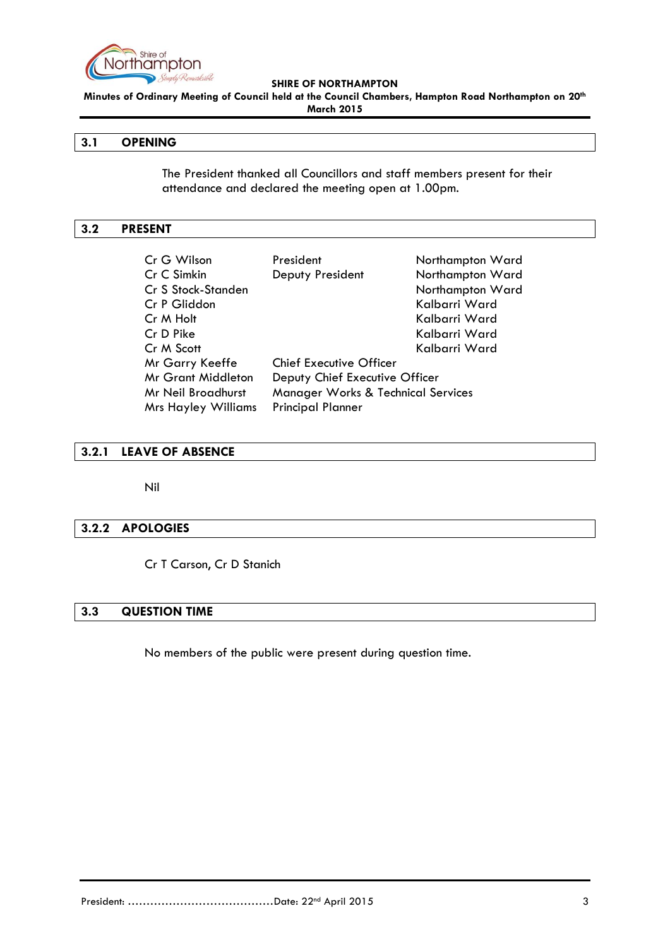

**Minutes of Ordinary Meeting of Council held at the Council Chambers, Hampton Road Northampton on 20th March 2015**

#### <span id="page-2-0"></span>**3.1 OPENING**

The President thanked all Councillors and staff members present for their attendance and declared the meeting open at 1.00pm.

## <span id="page-2-1"></span>**3.2 PRESENT**

| Cr G Wilson                | President                                     | Northampton Ward |  |
|----------------------------|-----------------------------------------------|------------------|--|
| Cr C Simkin                | Deputy President                              | Northampton Ward |  |
| Cr S Stock-Standen         |                                               | Northampton Ward |  |
| Cr P Gliddon               |                                               | Kalbarri Ward    |  |
| Cr M Holt                  |                                               | Kalbarri Ward    |  |
| Cr D Pike                  |                                               | Kalbarri Ward    |  |
| Cr M Scott                 |                                               | Kalbarri Ward    |  |
| Mr Garry Keeffe            | <b>Chief Executive Officer</b>                |                  |  |
| <b>Mr Grant Middleton</b>  | Deputy Chief Executive Officer                |                  |  |
| Mr Neil Broadhurst         | <b>Manager Works &amp; Technical Services</b> |                  |  |
| <b>Mrs Hayley Williams</b> | <b>Principal Planner</b>                      |                  |  |

#### <span id="page-2-2"></span>**3.2.1 LEAVE OF ABSENCE**

Nil

#### <span id="page-2-3"></span>**3.2.2 APOLOGIES**

Cr T Carson, Cr D Stanich

#### <span id="page-2-4"></span>**3.3 QUESTION TIME**

No members of the public were present during question time.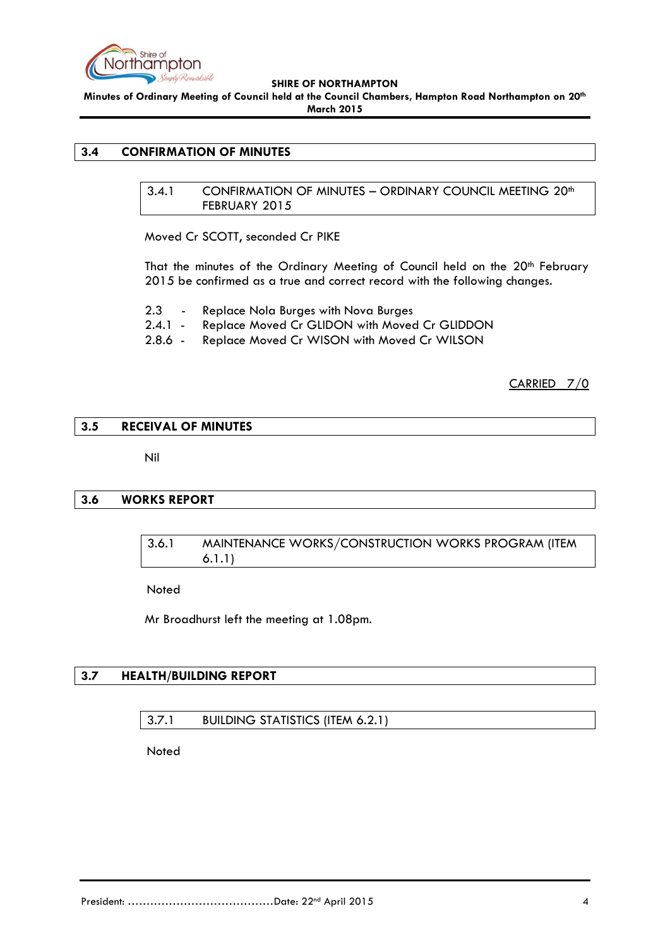

**Minutes of Ordinary Meeting of Council held at the Council Chambers, Hampton Road Northampton on 20th March 2015**

## <span id="page-3-1"></span><span id="page-3-0"></span>**3.4 CONFIRMATION OF MINUTES**

3.4.1 CONFIRMATION OF MINUTES - ORDINARY COUNCIL MEETING 20<sup>th</sup> FEBRUARY 2015

Moved Cr SCOTT, seconded Cr PIKE

That the minutes of the Ordinary Meeting of Council held on the 20<sup>th</sup> February 2015 be confirmed as a true and correct record with the following changes.

- 2.3 Replace Nola Burges with Nova Burges
- 2.4.1 Replace Moved Cr GLIDON with Moved Cr GLIDDON

2.8.6 - Replace Moved Cr WISON with Moved Cr WILSON

CARRIED 7/0

#### <span id="page-3-2"></span>**3.5 RECEIVAL OF MINUTES**

Nil

## <span id="page-3-4"></span><span id="page-3-3"></span>**3.6 WORKS REPORT**

3.6.1 MAINTENANCE WORKS/CONSTRUCTION WORKS PROGRAM (ITEM 6.1.1)

Noted

Mr Broadhurst left the meeting at 1.08pm.

#### <span id="page-3-6"></span><span id="page-3-5"></span>**3.7 HEALTH/BUILDING REPORT**

#### 3.7.1 BUILDING STATISTICS (ITEM 6.2.1)

**Noted**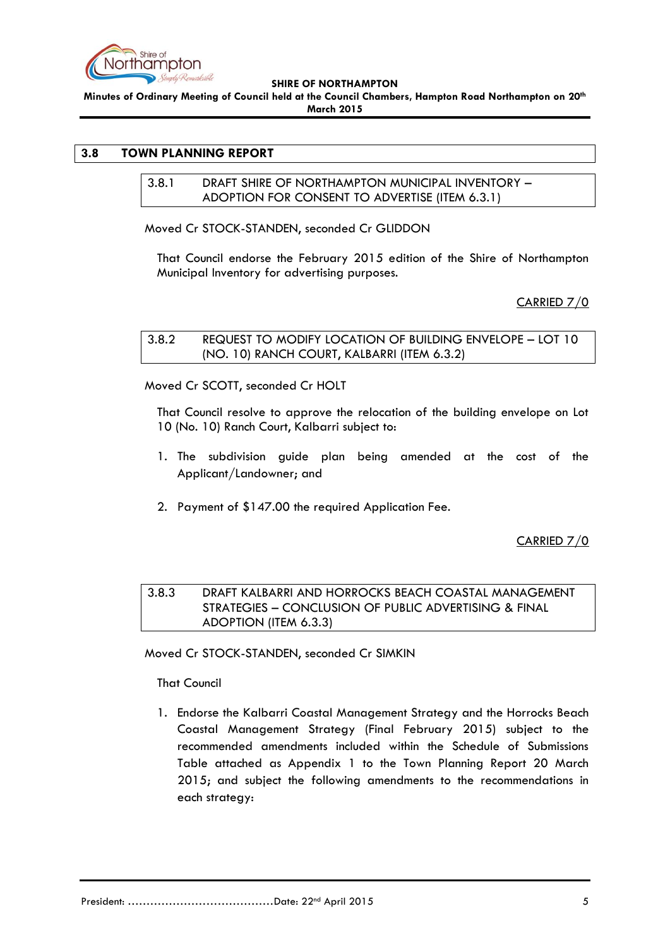

**Minutes of Ordinary Meeting of Council held at the Council Chambers, Hampton Road Northampton on 20th March 2015**

# <span id="page-4-1"></span><span id="page-4-0"></span>**3.8 TOWN PLANNING REPORT**

3.8.1 DRAFT SHIRE OF NORTHAMPTON MUNICIPAL INVENTORY – ADOPTION FOR CONSENT TO ADVERTISE (ITEM 6.3.1)

Moved Cr STOCK-STANDEN, seconded Cr GLIDDON

That Council endorse the February 2015 edition of the Shire of Northampton Municipal Inventory for advertising purposes.

CARRIED 7/0

<span id="page-4-2"></span>3.8.2 REQUEST TO MODIFY LOCATION OF BUILDING ENVELOPE – LOT 10 (NO. 10) RANCH COURT, KALBARRI (ITEM 6.3.2)

Moved Cr SCOTT, seconded Cr HOLT

That Council resolve to approve the relocation of the building envelope on Lot 10 (No. 10) Ranch Court, Kalbarri subject to:

- 1. The subdivision guide plan being amended at the cost of the Applicant/Landowner; and
- 2. Payment of \$147.00 the required Application Fee.

#### CARRIED 7/0

<span id="page-4-3"></span>3.8.3 DRAFT KALBARRI AND HORROCKS BEACH COASTAL MANAGEMENT STRATEGIES – CONCLUSION OF PUBLIC ADVERTISING & FINAL ADOPTION (ITEM 6.3.3)

Moved Cr STOCK-STANDEN, seconded Cr SIMKIN

#### That Council

1. Endorse the Kalbarri Coastal Management Strategy and the Horrocks Beach Coastal Management Strategy (Final February 2015) subject to the recommended amendments included within the Schedule of Submissions Table attached as Appendix 1 to the Town Planning Report 20 March 2015; and subject the following amendments to the recommendations in each strategy: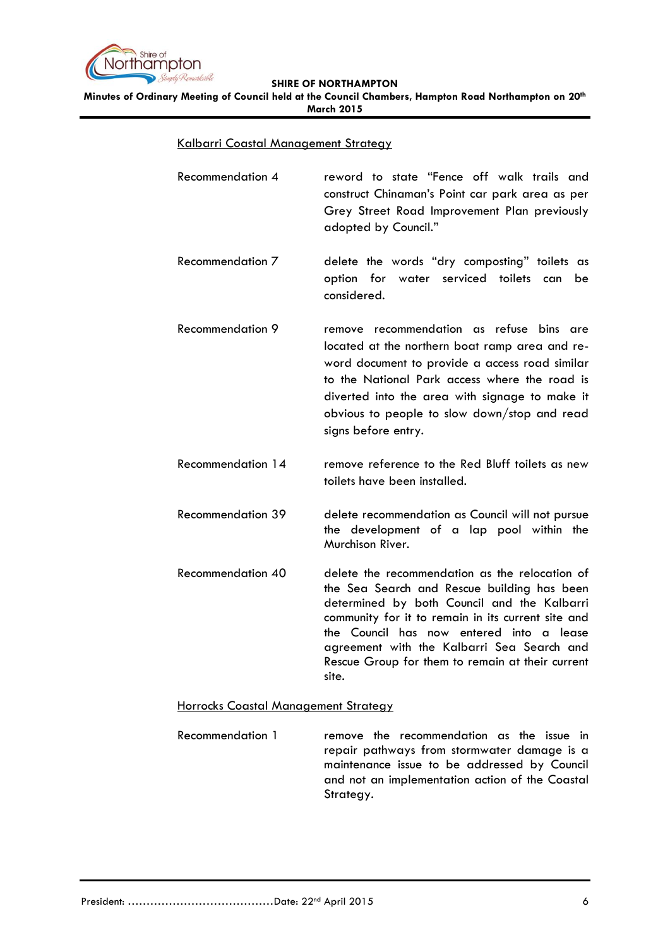

**Minutes of Ordinary Meeting of Council held at the Council Chambers, Hampton Road Northampton on 20th March 2015**

| Kalbarri Coastal Management Strategy |                                                                                                                                                                                                                                                                                                                                                           |  |  |  |
|--------------------------------------|-----------------------------------------------------------------------------------------------------------------------------------------------------------------------------------------------------------------------------------------------------------------------------------------------------------------------------------------------------------|--|--|--|
| Recommendation 4                     | reword to state "Fence off walk trails and<br>construct Chinaman's Point car park area as per<br>Grey Street Road Improvement Plan previously<br>adopted by Council."                                                                                                                                                                                     |  |  |  |
| <b>Recommendation 7</b>              | delete the words "dry composting" toilets as<br>option for<br>water serviced toilets can<br>be<br>considered.                                                                                                                                                                                                                                             |  |  |  |
| <b>Recommendation 9</b>              | recommendation as refuse bins are<br>remove<br>located at the northern boat ramp area and re-<br>word document to provide a access road similar<br>to the National Park access where the road is<br>diverted into the area with signage to make it<br>obvious to people to slow down/stop and read<br>signs before entry.                                 |  |  |  |
| Recommendation 14                    | remove reference to the Red Bluff toilets as new<br>toilets have been installed.                                                                                                                                                                                                                                                                          |  |  |  |
| <b>Recommendation 39</b>             | delete recommendation as Council will not pursue<br>the development of a lap pool within the<br>Murchison River.                                                                                                                                                                                                                                          |  |  |  |
| <b>Recommendation 40</b>             | delete the recommendation as the relocation of<br>the Sea Search and Rescue building has been<br>determined by both Council and the Kalbarri<br>community for it to remain in its current site and<br>the Council has now entered into a lease<br>agreement with the Kalbarri Sea Search and<br>Rescue Group for them to remain at their current<br>site. |  |  |  |

#### Kalbarri Coastal Management Strategy

Horrocks Coastal Management Strategy

Recommendation 1 remove the recommendation as the issue in repair pathways from stormwater damage is a maintenance issue to be addressed by Council and not an implementation action of the Coastal Strategy.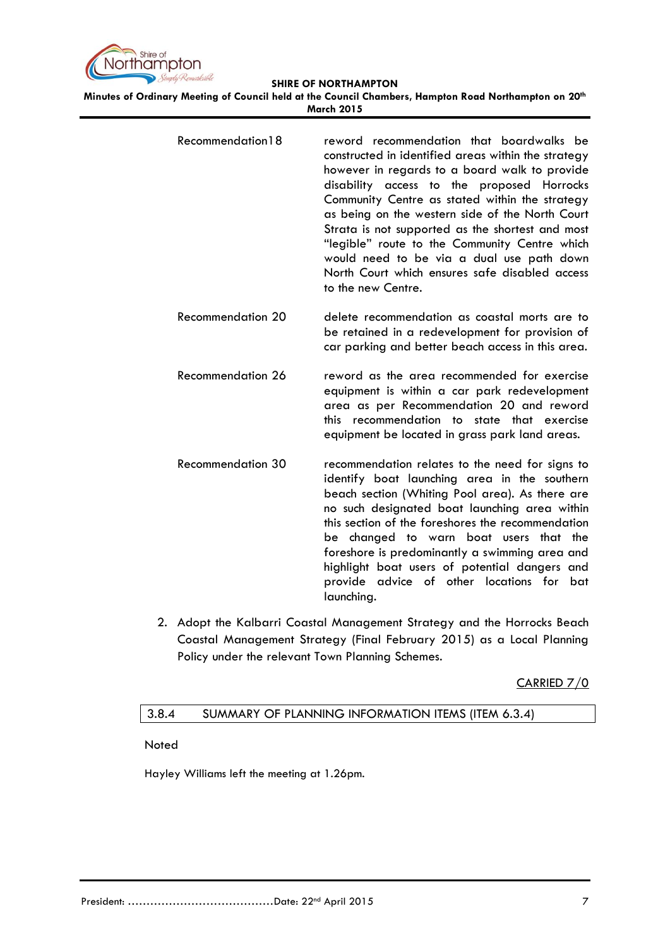

**Minutes of Ordinary Meeting of Council held at the Council Chambers, Hampton Road Northampton on 20th March 2015**

| Recommendation 18        | reword recommendation that boardwalks be<br>constructed in identified areas within the strategy<br>however in regards to a board walk to provide<br>disability access to the proposed Horrocks<br>Community Centre as stated within the strategy<br>as being on the western side of the North Court<br>Strata is not supported as the shortest and most<br>"legible" route to the Community Centre which<br>would need to be via a dual use path down<br>North Court which ensures safe disabled access<br>to the new Centre. |
|--------------------------|-------------------------------------------------------------------------------------------------------------------------------------------------------------------------------------------------------------------------------------------------------------------------------------------------------------------------------------------------------------------------------------------------------------------------------------------------------------------------------------------------------------------------------|
| <b>Recommendation 20</b> | delete recommendation as coastal morts are to<br>be retained in a redevelopment for provision of<br>car parking and better beach access in this area.                                                                                                                                                                                                                                                                                                                                                                         |
| <b>Recommendation 26</b> | reword as the area recommended for exercise<br>equipment is within a car park redevelopment<br>area as per Recommendation 20 and reword<br>this recommendation to state that exercise<br>equipment be located in grass park land areas.                                                                                                                                                                                                                                                                                       |
| <b>Recommendation 30</b> | recommendation relates to the need for signs to<br>identify boat launching area in the southern<br>beach section (Whiting Pool area). As there are<br>no such designated boat launching area within<br>this section of the foreshores the recommendation<br>be changed to warn boat users that the<br>foreshore is predominantly a swimming area and<br>highlight boat users of potential dangers and<br>provide advice of other locations for bat<br>launching.                                                              |

2. Adopt the Kalbarri Coastal Management Strategy and the Horrocks Beach Coastal Management Strategy (Final February 2015) as a Local Planning Policy under the relevant Town Planning Schemes.

CARRIED 7/0

# <span id="page-6-0"></span>3.8.4 SUMMARY OF PLANNING INFORMATION ITEMS (ITEM 6.3.4)

#### Noted

Hayley Williams left the meeting at 1.26pm.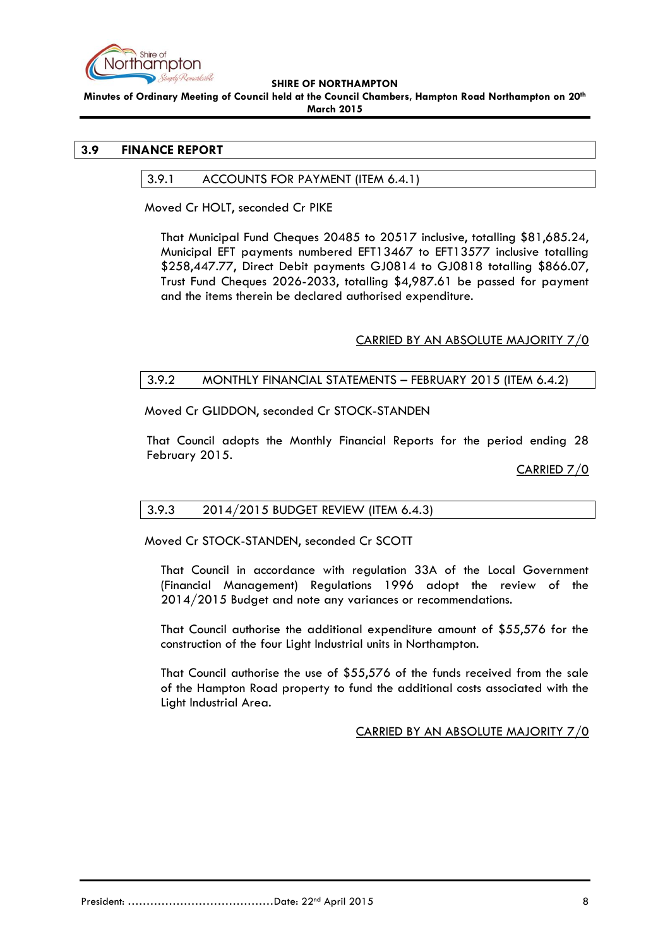

**Minutes of Ordinary Meeting of Council held at the Council Chambers, Hampton Road Northampton on 20th March 2015**

#### <span id="page-7-1"></span><span id="page-7-0"></span>**3.9 FINANCE REPORT**

#### 3.9.1 ACCOUNTS FOR PAYMENT (ITEM 6.4.1)

Moved Cr HOLT, seconded Cr PIKE

That Municipal Fund Cheques 20485 to 20517 inclusive, totalling \$81,685.24, Municipal EFT payments numbered EFT13467 to EFT13577 inclusive totalling \$258,447.77, Direct Debit payments GJ0814 to GJ0818 totalling \$866.07, Trust Fund Cheques 2026-2033, totalling \$4,987.61 be passed for payment and the items therein be declared authorised expenditure.

#### CARRIED BY AN ABSOLUTE MAJORITY 7/0

#### <span id="page-7-2"></span>3.9.2 MONTHLY FINANCIAL STATEMENTS – FEBRUARY 2015 (ITEM 6.4.2)

Moved Cr GLIDDON, seconded Cr STOCK-STANDEN

That Council adopts the Monthly Financial Reports for the period ending 28 February 2015.

CARRIED 7/0

#### <span id="page-7-3"></span>3.9.3 2014/2015 BUDGET REVIEW (ITEM 6.4.3)

Moved Cr STOCK-STANDEN, seconded Cr SCOTT

That Council in accordance with regulation 33A of the Local Government (Financial Management) Regulations 1996 adopt the review of the 2014/2015 Budget and note any variances or recommendations.

That Council authorise the additional expenditure amount of \$55,576 for the construction of the four Light Industrial units in Northampton.

That Council authorise the use of \$55,576 of the funds received from the sale of the Hampton Road property to fund the additional costs associated with the Light Industrial Area.

CARRIED BY AN ABSOLUTE MAJORITY 7/0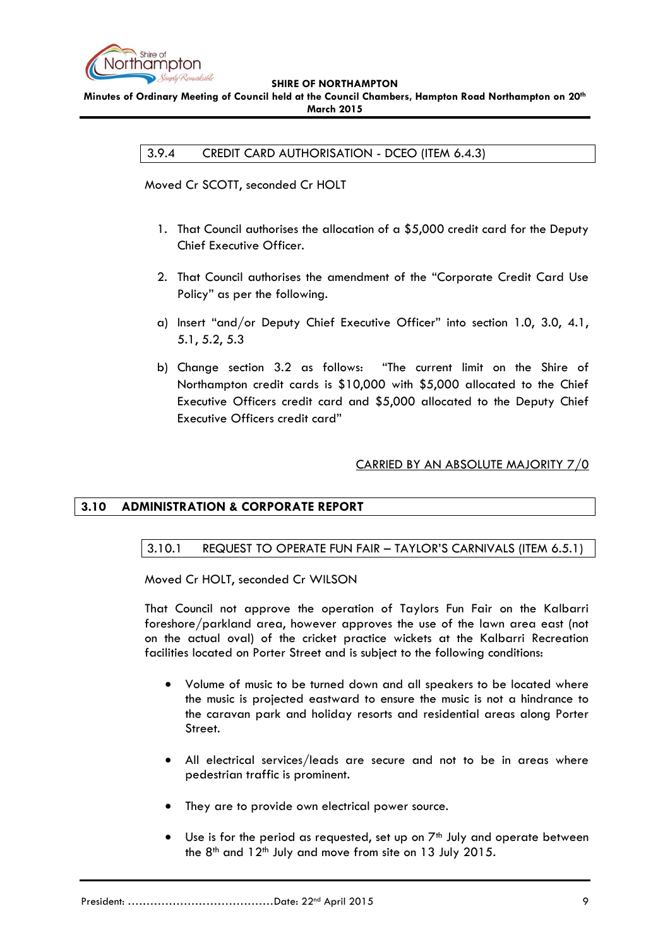

<span id="page-8-0"></span>**Minutes of Ordinary Meeting of Council held at the Council Chambers, Hampton Road Northampton on 20th March 2015**

3.9.4 CREDIT CARD AUTHORISATION - DCEO (ITEM 6.4.3)

Moved Cr SCOTT, seconded Cr HOLT

- 1. That Council authorises the allocation of a \$5,000 credit card for the Deputy Chief Executive Officer.
- 2. That Council authorises the amendment of the "Corporate Credit Card Use Policy" as per the following.
- a) Insert "and/or Deputy Chief Executive Officer" into section 1.0, 3.0, 4.1, 5.1, 5.2, 5.3
- b) Change section 3.2 as follows: "The current limit on the Shire of Northampton credit cards is \$10,000 with \$5,000 allocated to the Chief Executive Officers credit card and \$5,000 allocated to the Deputy Chief Executive Officers credit card"

## CARRIED BY AN ABSOLUTE MAJORITY 7/0

# <span id="page-8-2"></span><span id="page-8-1"></span>**3.10 ADMINISTRATION & CORPORATE REPORT**

#### 3.10.1 REQUEST TO OPERATE FUN FAIR – TAYLOR'S CARNIVALS (ITEM 6.5.1)

Moved Cr HOLT, seconded Cr WILSON

That Council not approve the operation of Taylors Fun Fair on the Kalbarri foreshore/parkland area, however approves the use of the lawn area east (not on the actual oval) of the cricket practice wickets at the Kalbarri Recreation facilities located on Porter Street and is subject to the following conditions:

- Volume of music to be turned down and all speakers to be located where the music is projected eastward to ensure the music is not a hindrance to the caravan park and holiday resorts and residential areas along Porter Street.
- All electrical services/leads are secure and not to be in areas where pedestrian traffic is prominent.
- They are to provide own electrical power source.
- $\bullet$  Use is for the period as requested, set up on  $7<sup>th</sup>$  July and operate between the  $8<sup>th</sup>$  and  $12<sup>th</sup>$  July and move from site on 13 July 2015.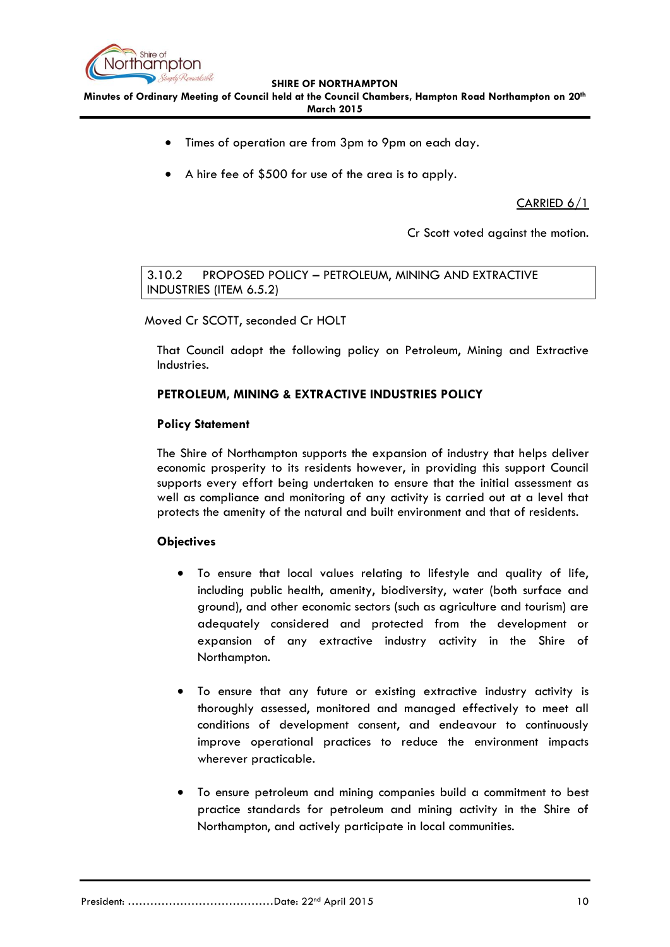

**Minutes of Ordinary Meeting of Council held at the Council Chambers, Hampton Road Northampton on 20th March 2015**

- Times of operation are from 3pm to 9pm on each day.
- A hire fee of \$500 for use of the area is to apply.

#### CARRIED 6/1

Cr Scott voted against the motion.

## <span id="page-9-0"></span>3.10.2 PROPOSED POLICY – PETROLEUM, MINING AND EXTRACTIVE INDUSTRIES (ITEM 6.5.2)

Moved Cr SCOTT, seconded Cr HOLT

That Council adopt the following policy on Petroleum, Mining and Extractive Industries.

## **PETROLEUM, MINING & EXTRACTIVE INDUSTRIES POLICY**

#### **Policy Statement**

The Shire of Northampton supports the expansion of industry that helps deliver economic prosperity to its residents however, in providing this support Council supports every effort being undertaken to ensure that the initial assessment as well as compliance and monitoring of any activity is carried out at a level that protects the amenity of the natural and built environment and that of residents.

#### **Objectives**

- To ensure that local values relating to lifestyle and quality of life, including public health, amenity, biodiversity, water (both surface and ground), and other economic sectors (such as agriculture and tourism) are adequately considered and protected from the development or expansion of any extractive industry activity in the Shire of Northampton.
- To ensure that any future or existing extractive industry activity is thoroughly assessed, monitored and managed effectively to meet all conditions of development consent, and endeavour to continuously improve operational practices to reduce the environment impacts wherever practicable.
- To ensure petroleum and mining companies build a commitment to best practice standards for petroleum and mining activity in the Shire of Northampton, and actively participate in local communities.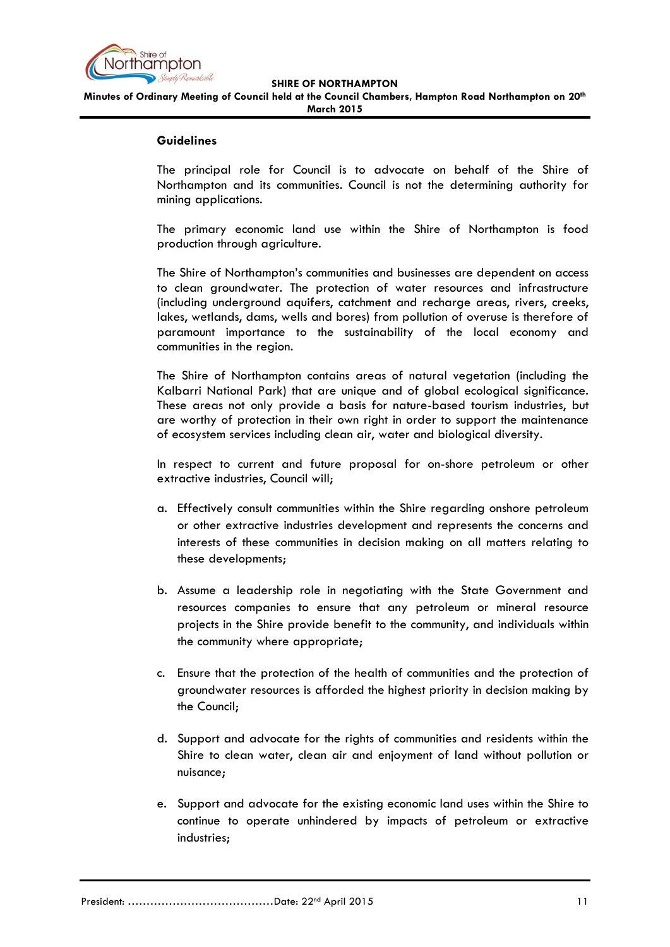

**Minutes of Ordinary Meeting of Council held at the Council Chambers, Hampton Road Northampton on 20th March 2015**

#### **Guidelines**

The principal role for Council is to advocate on behalf of the Shire of Northampton and its communities. Council is not the determining authority for mining applications.

The primary economic land use within the Shire of Northampton is food production through agriculture.

The Shire of Northampton's communities and businesses are dependent on access to clean groundwater. The protection of water resources and infrastructure (including underground aquifers, catchment and recharge areas, rivers, creeks, lakes, wetlands, dams, wells and bores) from pollution of overuse is therefore of paramount importance to the sustainability of the local economy and communities in the region.

The Shire of Northampton contains areas of natural vegetation (including the Kalbarri National Park) that are unique and of global ecological significance. These areas not only provide a basis for nature-based tourism industries, but are worthy of protection in their own right in order to support the maintenance of ecosystem services including clean air, water and biological diversity.

In respect to current and future proposal for on-shore petroleum or other extractive industries, Council will;

- a. Effectively consult communities within the Shire regarding onshore petroleum or other extractive industries development and represents the concerns and interests of these communities in decision making on all matters relating to these developments;
- b. Assume a leadership role in negotiating with the State Government and resources companies to ensure that any petroleum or mineral resource projects in the Shire provide benefit to the community, and individuals within the community where appropriate;
- c. Ensure that the protection of the health of communities and the protection of groundwater resources is afforded the highest priority in decision making by the Council;
- d. Support and advocate for the rights of communities and residents within the Shire to clean water, clean air and enjoyment of land without pollution or nuisance;
- e. Support and advocate for the existing economic land uses within the Shire to continue to operate unhindered by impacts of petroleum or extractive industries;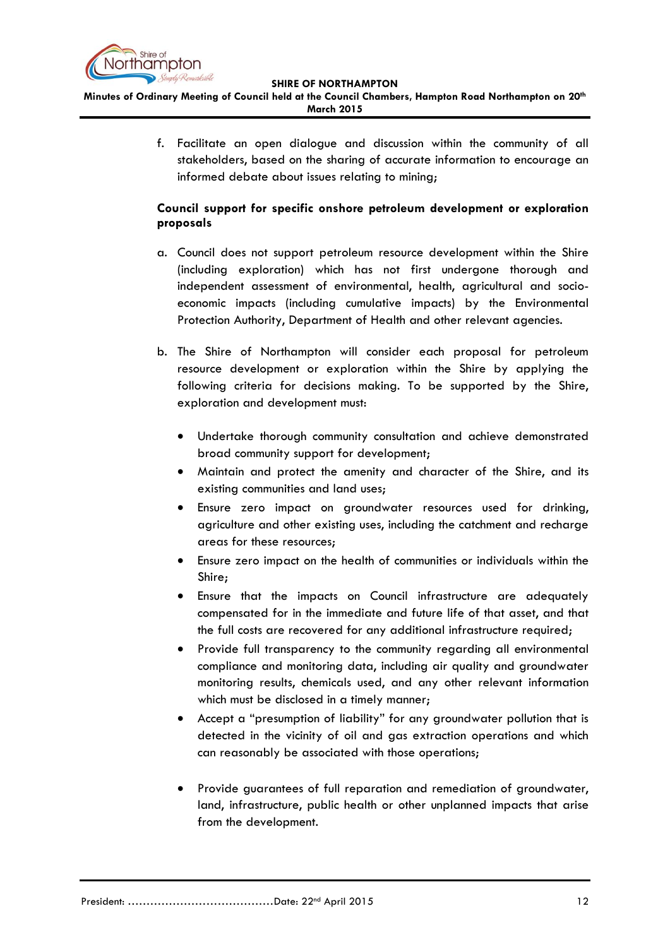

**Minutes of Ordinary Meeting of Council held at the Council Chambers, Hampton Road Northampton on 20th March 2015**

> f. Facilitate an open dialogue and discussion within the community of all stakeholders, based on the sharing of accurate information to encourage an informed debate about issues relating to mining;

# **Council support for specific onshore petroleum development or exploration proposals**

- a. Council does not support petroleum resource development within the Shire (including exploration) which has not first undergone thorough and independent assessment of environmental, health, agricultural and socioeconomic impacts (including cumulative impacts) by the Environmental Protection Authority, Department of Health and other relevant agencies.
- b. The Shire of Northampton will consider each proposal for petroleum resource development or exploration within the Shire by applying the following criteria for decisions making. To be supported by the Shire, exploration and development must:
	- Undertake thorough community consultation and achieve demonstrated broad community support for development;
	- Maintain and protect the amenity and character of the Shire, and its existing communities and land uses;
	- Ensure zero impact on groundwater resources used for drinking, agriculture and other existing uses, including the catchment and recharge areas for these resources;
	- Ensure zero impact on the health of communities or individuals within the Shire;
	- Ensure that the impacts on Council infrastructure are adequately compensated for in the immediate and future life of that asset, and that the full costs are recovered for any additional infrastructure required;
	- Provide full transparency to the community regarding all environmental compliance and monitoring data, including air quality and groundwater monitoring results, chemicals used, and any other relevant information which must be disclosed in a timely manner;
	- Accept a "presumption of liability" for any groundwater pollution that is detected in the vicinity of oil and gas extraction operations and which can reasonably be associated with those operations;
	- Provide guarantees of full reparation and remediation of groundwater, land, infrastructure, public health or other unplanned impacts that arise from the development.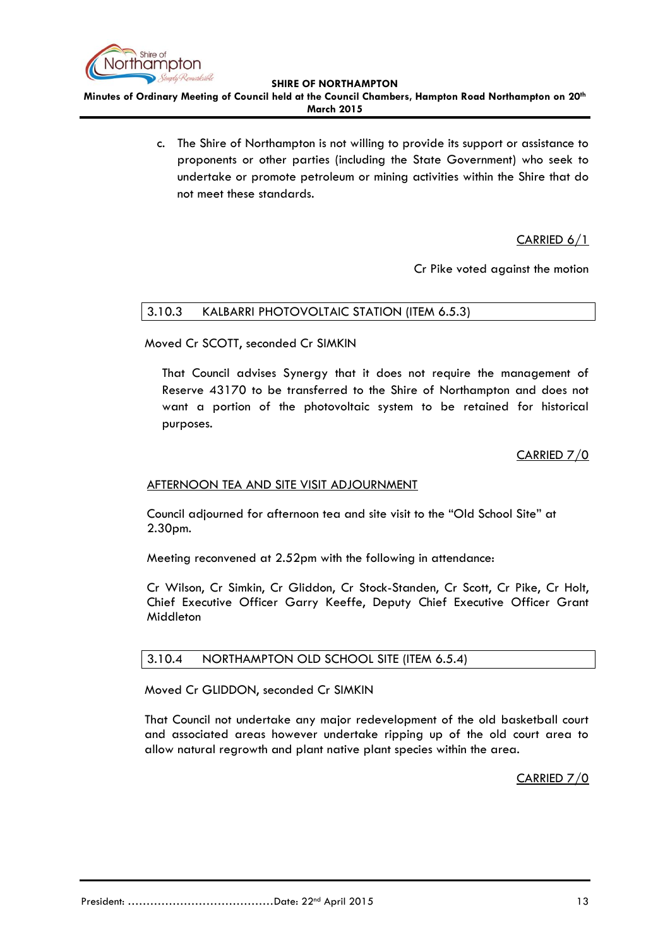

**Minutes of Ordinary Meeting of Council held at the Council Chambers, Hampton Road Northampton on 20th March 2015**

> c. The Shire of Northampton is not willing to provide its support or assistance to proponents or other parties (including the State Government) who seek to undertake or promote petroleum or mining activities within the Shire that do not meet these standards.

> > CARRIED 6/1

Cr Pike voted against the motion

## <span id="page-12-0"></span>3.10.3 KALBARRI PHOTOVOLTAIC STATION (ITEM 6.5.3)

Moved Cr SCOTT, seconded Cr SIMKIN

That Council advises Synergy that it does not require the management of Reserve 43170 to be transferred to the Shire of Northampton and does not want a portion of the photovoltaic system to be retained for historical purposes.

CARRIED 7/0

#### AFTERNOON TEA AND SITE VISIT ADJOURNMENT

Council adjourned for afternoon tea and site visit to the "Old School Site" at 2.30pm.

Meeting reconvened at 2.52pm with the following in attendance:

Cr Wilson, Cr Simkin, Cr Gliddon, Cr Stock-Standen, Cr Scott, Cr Pike, Cr Holt, Chief Executive Officer Garry Keeffe, Deputy Chief Executive Officer Grant Middleton

#### <span id="page-12-1"></span>3.10.4 NORTHAMPTON OLD SCHOOL SITE (ITEM 6.5.4)

Moved Cr GLIDDON, seconded Cr SIMKIN

That Council not undertake any major redevelopment of the old basketball court and associated areas however undertake ripping up of the old court area to allow natural regrowth and plant native plant species within the area.

CARRIED 7/0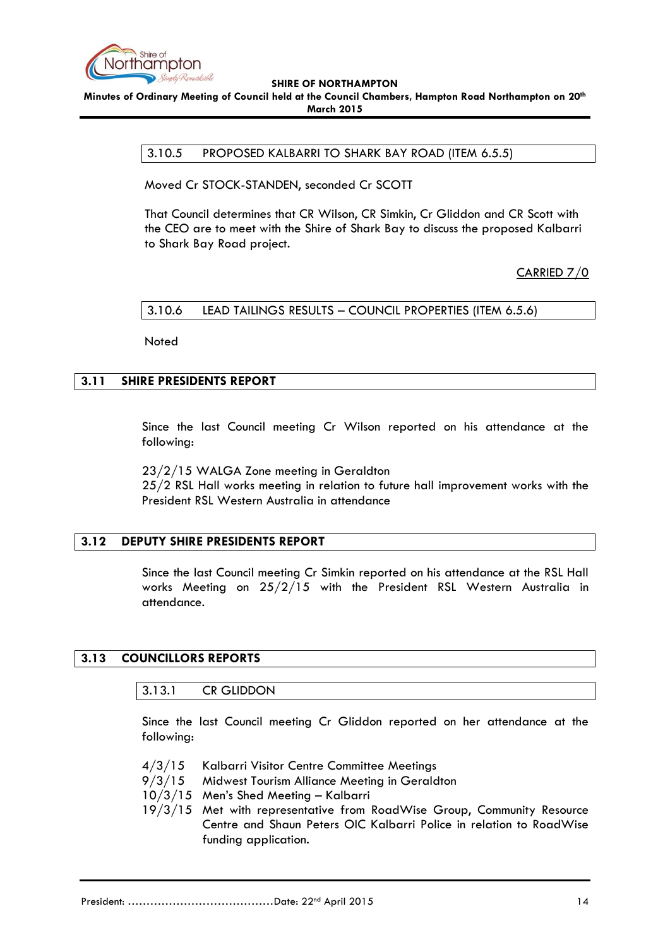

<span id="page-13-0"></span>**Minutes of Ordinary Meeting of Council held at the Council Chambers, Hampton Road Northampton on 20th March 2015**

## 3.10.5 PROPOSED KALBARRI TO SHARK BAY ROAD (ITEM 6.5.5)

Moved Cr STOCK-STANDEN, seconded Cr SCOTT

That Council determines that CR Wilson, CR Simkin, Cr Gliddon and CR Scott with the CEO are to meet with the Shire of Shark Bay to discuss the proposed Kalbarri to Shark Bay Road project.

CARRIED 7/0

## <span id="page-13-1"></span>3.10.6 LEAD TAILINGS RESULTS – COUNCIL PROPERTIES (ITEM 6.5.6)

**Noted** 

# <span id="page-13-2"></span>**3.11 SHIRE PRESIDENTS REPORT**

Since the last Council meeting Cr Wilson reported on his attendance at the following:

23/2/15 WALGA Zone meeting in Geraldton 25/2 RSL Hall works meeting in relation to future hall improvement works with the President RSL Western Australia in attendance

#### <span id="page-13-3"></span>**3.12 DEPUTY SHIRE PRESIDENTS REPORT**

Since the last Council meeting Cr Simkin reported on his attendance at the RSL Hall works Meeting on 25/2/15 with the President RSL Western Australia in attendance.

# <span id="page-13-5"></span><span id="page-13-4"></span>**3.13 COUNCILLORS REPORTS**

3.13.1 CR GLIDDON

Since the last Council meeting Cr Gliddon reported on her attendance at the following:

- 4/3/15 Kalbarri Visitor Centre Committee Meetings
- 9/3/15 Midwest Tourism Alliance Meeting in Geraldton
- 10/3/15 Men's Shed Meeting Kalbarri
- 19/3/15 Met with representative from RoadWise Group, Community Resource Centre and Shaun Peters OIC Kalbarri Police in relation to RoadWise funding application.